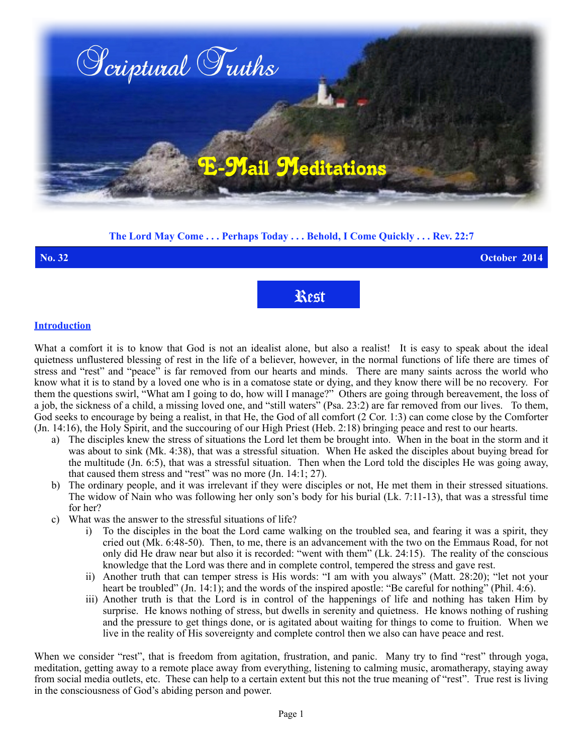

## **The Lord May Come . . . Perhaps Today . . . Behold, I Come Quickly . . . Rev. 22:7**

## **No. 32 October 2014** Rest

## **Introduction**

What a comfort it is to know that God is not an idealist alone, but also a realist! It is easy to speak about the ideal quietness unflustered blessing of rest in the life of a believer, however, in the normal functions of life there are times of stress and "rest" and "peace" is far removed from our hearts and minds. There are many saints across the world who know what it is to stand by a loved one who is in a comatose state or dying, and they know there will be no recovery. For them the questions swirl, "What am I going to do, how will I manage?" Others are going through bereavement, the loss of a job, the sickness of a child, a missing loved one, and "still waters" (Psa. 23:2) are far removed from our lives. To them, God seeks to encourage by being a realist, in that He, the God of all comfort (2 Cor. 1:3) can come close by the Comforter (Jn. 14:16), the Holy Spirit, and the succouring of our High Priest (Heb. 2:18) bringing peace and rest to our hearts.

- a) The disciples knew the stress of situations the Lord let them be brought into. When in the boat in the storm and it was about to sink (Mk. 4:38), that was a stressful situation. When He asked the disciples about buying bread for the multitude (Jn. 6:5), that was a stressful situation. Then when the Lord told the disciples He was going away, that caused them stress and "rest" was no more (Jn. 14:1; 27).
- b) The ordinary people, and it was irrelevant if they were disciples or not, He met them in their stressed situations. The widow of Nain who was following her only son's body for his burial (Lk. 7:11-13), that was a stressful time for her?
- c) What was the answer to the stressful situations of life?
	- i) To the disciples in the boat the Lord came walking on the troubled sea, and fearing it was a spirit, they cried out (Mk. 6:48-50). Then, to me, there is an advancement with the two on the Emmaus Road, for not only did He draw near but also it is recorded: "went with them" (Lk. 24:15). The reality of the conscious knowledge that the Lord was there and in complete control, tempered the stress and gave rest.
	- ii) Another truth that can temper stress is His words: "I am with you always" (Matt. 28:20); "let not your heart be troubled" (Jn. 14:1); and the words of the inspired apostle: "Be careful for nothing" (Phil. 4:6).
	- iii) Another truth is that the Lord is in control of the happenings of life and nothing has taken Him by surprise. He knows nothing of stress, but dwells in serenity and quietness. He knows nothing of rushing and the pressure to get things done, or is agitated about waiting for things to come to fruition. When we live in the reality of His sovereignty and complete control then we also can have peace and rest.

When we consider "rest", that is freedom from agitation, frustration, and panic. Many try to find "rest" through yoga, meditation, getting away to a remote place away from everything, listening to calming music, aromatherapy, staying away from social media outlets, etc. These can help to a certain extent but this not the true meaning of "rest". True rest is living in the consciousness of God's abiding person and power.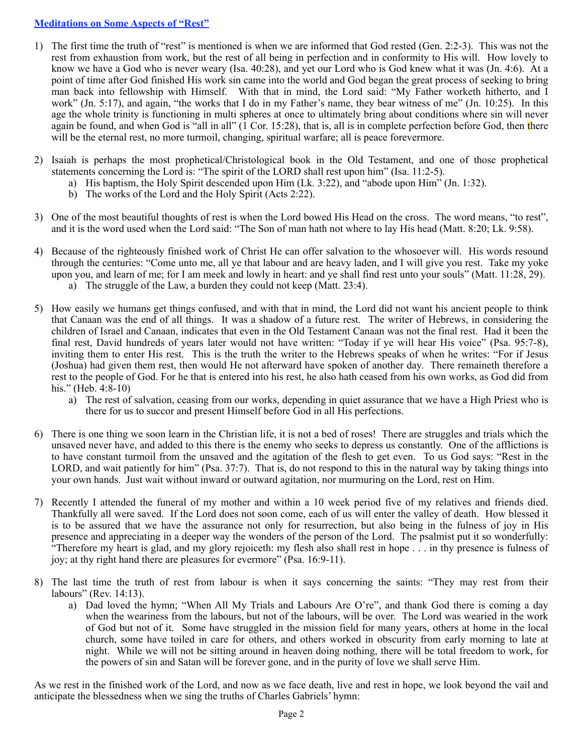## **Meditations on Some Aspects of "Rest"**

- 1) The first time the truth of "rest" is mentioned is when we are informed that God rested (Gen. 2:2-3). This was not the rest from exhaustion from work, but the rest of all being in perfection and in conformity to His will. How lovely to know we have a God who is never weary (Isa. 40:28), and yet our Lord who is God knew what it was (Jn. 4:6). At a point of time after God finished His work sin came into the world and God began the great process of seeking to bring man back into fellowship with Himself. With that in mind, the Lord said: "My Father worketh hitherto, and I work" (Jn. 5:17), and again, "the works that I do in my Father's name, they bear witness of me" (Jn. 10:25). In this age the whole trinity is functioning in multi spheres at once to ultimately bring about conditions where sin will never again be found, and when God is "all in all"  $(1 \text{ Cor. } 15:28)$ , that is, all is in complete perfection before God, then there will be the eternal rest, no more turmoil, changing, spiritual warfare; all is peace forevermore.
- 2) Isaiah is perhaps the most prophetical/Christological book in the Old Testament, and one of those prophetical statements concerning the Lord is: "The spirit of the LORD shall rest upon him" (Isa. 11:2-5).
	- a) His baptism, the Holy Spirit descended upon Him (Lk. 3:22), and "abode upon Him" (Jn. 1:32).
	- b) The works of the Lord and the Holy Spirit (Acts 2:22).
- 3) One of the most beautiful thoughts of rest is when the Lord bowed His Head on the cross. The word means, "to rest", and it is the word used when the Lord said: "The Son of man hath not where to lay His head (Matt. 8:20; Lk. 9:58).
- 4) Because of the righteously finished work of Christ He can offer salvation to the whosoever will. His words resound through the centuries: "Come unto me, all ye that labour and are heavy laden, and I will give you rest. Take my yoke upon you, and learn of me; for I am meek and lowly in heart: and ye shall find rest unto your souls" (Matt. 11:28, 29). a) The struggle of the Law, a burden they could not keep (Matt. 23:4).
- 5) How easily we humans get things confused, and with that in mind, the Lord did not want his ancient people to think that Canaan was the end of all things. It was a shadow of a future rest. The writer of Hebrews, in considering the children of Israel and Canaan, indicates that even in the Old Testament Canaan was not the final rest. Had it been the final rest, David hundreds of years later would not have written: "Today if ye will hear His voice" (Psa. 95:7-8), inviting them to enter His rest. This is the truth the writer to the Hebrews speaks of when he writes: "For if Jesus (Joshua) had given them rest, then would He not afterward have spoken of another day. There remaineth therefore a rest to the people of God. For he that is entered into his rest, he also hath ceased from his own works, as God did from his." (Heb.  $4:8-10$ )
	- a) The rest of salvation, ceasing from our works, depending in quiet assurance that we have a High Priest who is there for us to succor and present Himself before God in all His perfections.
- 6) There is one thing we soon learn in the Christian life, it is not a bed of roses! There are struggles and trials which the unsaved never have, and added to this there is the enemy who seeks to depress us constantly. One of the afflictions is to have constant turmoil from the unsaved and the agitation of the flesh to get even. To us God says: "Rest in the LORD, and wait patiently for him" (Psa. 37:7). That is, do not respond to this in the natural way by taking things into your own hands. Just wait without inward or outward agitation, nor murmuring on the Lord, rest on Him.
- 7) Recently I attended the funeral of my mother and within a 10 week period five of my relatives and friends died. Thankfully all were saved. If the Lord does not soon come, each of us will enter the valley of death. How blessed it is to be assured that we have the assurance not only for resurrection, but also being in the fulness of joy in His presence and appreciating in a deeper way the wonders of the person of the Lord. The psalmist put it so wonderfully: "Therefore my heart is glad, and my glory rejoiceth: my flesh also shall rest in hope . . . in thy presence is fulness of joy; at thy right hand there are pleasures for evermore" (Psa. 16:9-11).
- 8) The last time the truth of rest from labour is when it says concerning the saints: "They may rest from their labours" (Rev. 14:13).
	- a) Dad loved the hymn; "When All My Trials and Labours Are O're", and thank God there is coming a day when the weariness from the labours, but not of the labours, will be over. The Lord was wearied in the work of God but not of it. Some have struggled in the mission field for many years, others at home in the local church, some have toiled in care for others, and others worked in obscurity from early morning to late at night. While we will not be sitting around in heaven doing nothing, there will be total freedom to work, for the powers of sin and Satan will be forever gone, and in the purity of love we shall serve Him.

As we rest in the finished work of the Lord, and now as we face death, live and rest in hope, we look beyond the vail and anticipate the blessedness when we sing the truths of Charles Gabriels' hymn: